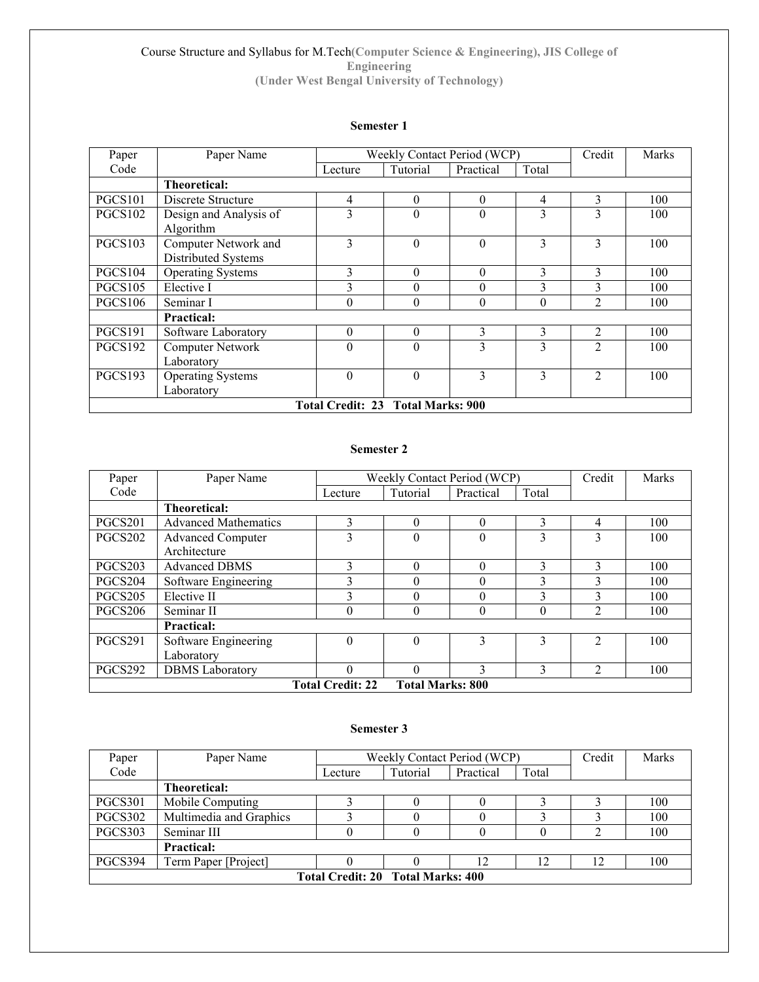### Course Structure and Syllabus for M.Tech(Computer Science & Engineering), JIS College of Engineering (Under West Bengal University of Technology)

### Semester 1

| Paper                             | Paper Name               | Weekly Contact Period (WCP) |          |           | Credit   | <b>Marks</b>   |     |
|-----------------------------------|--------------------------|-----------------------------|----------|-----------|----------|----------------|-----|
| Code                              |                          | Lecture                     | Tutorial | Practical | Total    |                |     |
|                                   | <b>Theoretical:</b>      |                             |          |           |          |                |     |
| <b>PGCS101</b>                    | Discrete Structure       | 4                           | $\theta$ | $\theta$  | 4        | 3              | 100 |
| <b>PGCS102</b>                    | Design and Analysis of   | 3                           | $\theta$ | $\theta$  | 3        | 3              | 100 |
|                                   | Algorithm                |                             |          |           |          |                |     |
| <b>PGCS103</b>                    | Computer Network and     | 3                           | $\theta$ | $\theta$  | 3        | 3              | 100 |
|                                   | Distributed Systems      |                             |          |           |          |                |     |
| <b>PGCS104</b>                    | <b>Operating Systems</b> | 3                           | $\theta$ | $\theta$  | 3        | 3              | 100 |
| <b>PGCS105</b>                    | Elective I               | 3                           | $\theta$ | $\theta$  | 3        | 3              | 100 |
| <b>PGCS106</b>                    | Seminar I                | $\theta$                    | $\theta$ | $\theta$  | $\theta$ | 2              | 100 |
|                                   | <b>Practical:</b>        |                             |          |           |          |                |     |
| <b>PGCS191</b>                    | Software Laboratory      | $\theta$                    | $\theta$ | 3         | 3        | $\overline{2}$ | 100 |
| PGCS192                           | Computer Network         | $\theta$                    | $\theta$ | 3         | 3        | C              | 100 |
|                                   | Laboratory               |                             |          |           |          |                |     |
| <b>PGCS193</b>                    | <b>Operating Systems</b> | $\theta$                    | $\theta$ | 3         | 3        | $\mathfrak{D}$ | 100 |
|                                   | Laboratory               |                             |          |           |          |                |     |
| Total Credit: 23 Total Marks: 900 |                          |                             |          |           |          |                |     |

### Semester 2

| Paper          | Paper Name                                         | Weekly Contact Period (WCP) |          |           | Credit | <b>Marks</b>   |     |
|----------------|----------------------------------------------------|-----------------------------|----------|-----------|--------|----------------|-----|
| Code           |                                                    | Lecture                     | Tutorial | Practical | Total  |                |     |
|                | Theoretical:                                       |                             |          |           |        |                |     |
| PGCS201        | <b>Advanced Mathematics</b>                        | 3                           | $\Omega$ | $\Omega$  | 3      | 4              | 100 |
| <b>PGCS202</b> | <b>Advanced Computer</b>                           | 3                           | $\theta$ | $\theta$  | 3      | 3              | 100 |
|                | Architecture                                       |                             |          |           |        |                |     |
| PGCS203        | <b>Advanced DBMS</b>                               | 3                           | $\theta$ | 0         | 3      | 3              | 100 |
| PGCS204        | Software Engineering                               | 3                           | $\Omega$ | $\theta$  | 3      | 3              | 100 |
| <b>PGCS205</b> | Elective II                                        | 3                           | 0        | 0         | 3      | 3              | 100 |
| <b>PGCS206</b> | Seminar II                                         | 0                           | $\theta$ | $\theta$  | 0      | $\overline{2}$ | 100 |
|                | <b>Practical:</b>                                  |                             |          |           |        |                |     |
| PGCS291        | Software Engineering                               | $\theta$                    | $\Omega$ | 3         | 3      | $\mathfrak{D}$ | 100 |
|                | Laboratory                                         |                             |          |           |        |                |     |
| PGCS292        | <b>DBMS</b> Laboratory                             | $\theta$                    | $\theta$ | 3         | 3      | 2              | 100 |
|                | <b>Total Marks: 800</b><br><b>Total Credit: 22</b> |                             |          |           |        |                |     |

### Semester 3

| Paper                             | Paper Name              | Weekly Contact Period (WCP) |          |           | Credit | Marks |     |
|-----------------------------------|-------------------------|-----------------------------|----------|-----------|--------|-------|-----|
| Code                              |                         | Lecture                     | Tutorial | Practical | Total  |       |     |
| <b>Theoretical:</b>               |                         |                             |          |           |        |       |     |
| <b>PGCS301</b>                    | Mobile Computing        |                             |          |           |        |       | 100 |
| PGCS302                           | Multimedia and Graphics |                             |          |           |        |       | 100 |
| PGCS303                           | Seminar III             |                             |          |           |        |       | 100 |
| <b>Practical:</b>                 |                         |                             |          |           |        |       |     |
| PGCS394                           | Term Paper [Project]    |                             |          |           | 12     | 12    | 100 |
| Total Credit: 20 Total Marks: 400 |                         |                             |          |           |        |       |     |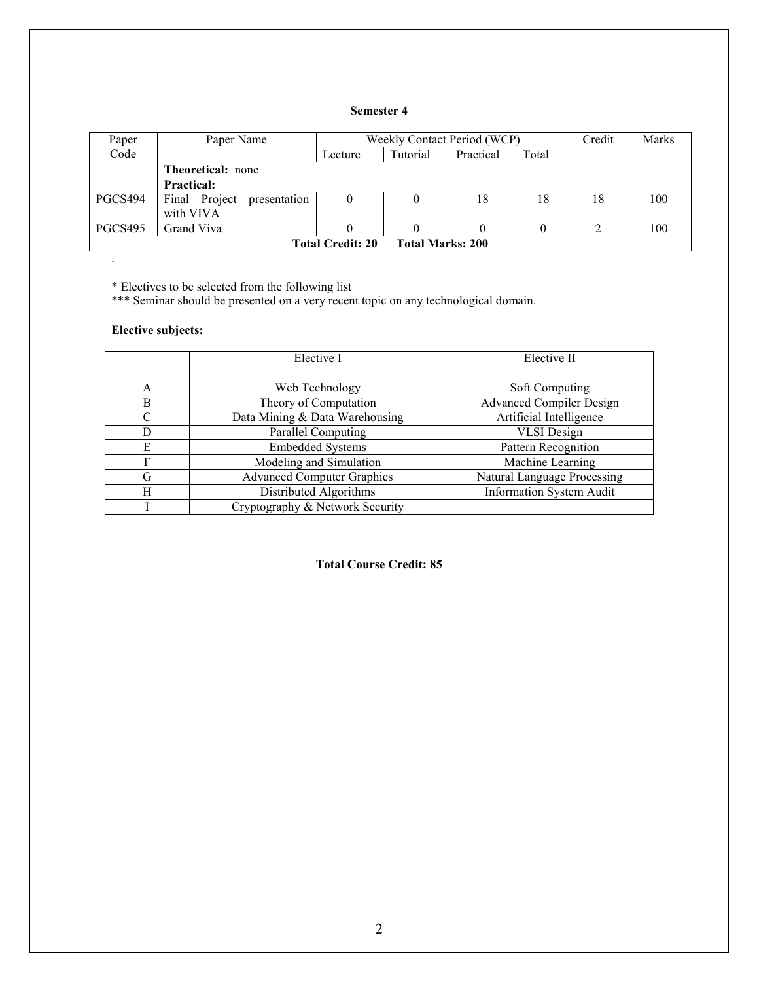# Semester 4

| Paper                                              | Paper Name                                 | Weekly Contact Period (WCP) |          |           | Credit | <b>Marks</b> |     |
|----------------------------------------------------|--------------------------------------------|-----------------------------|----------|-----------|--------|--------------|-----|
| Code                                               |                                            | Lecture                     | Tutorial | Practical | Total  |              |     |
|                                                    | <b>Theoretical:</b> none                   |                             |          |           |        |              |     |
|                                                    | <b>Practical:</b>                          |                             |          |           |        |              |     |
| PGCS494                                            | Final Project<br>presentation<br>with VIVA | $\boldsymbol{0}$            |          | 18        | 18     | 18           | 100 |
| PGCS495                                            | Grand Viva                                 |                             |          |           |        |              | 100 |
| <b>Total Marks: 200</b><br><b>Total Credit: 20</b> |                                            |                             |          |           |        |              |     |

\* Electives to be selected from the following list

\*\*\* Seminar should be presented on a very recent topic on any technological domain.

# Elective subjects:

.

|           | Elective I                        | Elective II                     |
|-----------|-----------------------------------|---------------------------------|
|           |                                   |                                 |
| A         | Web Technology                    | Soft Computing                  |
| B         | Theory of Computation             | <b>Advanced Compiler Design</b> |
| $\subset$ | Data Mining & Data Warehousing    | Artificial Intelligence         |
| D         | Parallel Computing                | <b>VLSI</b> Design              |
| E         | <b>Embedded Systems</b>           | Pattern Recognition             |
| F         | Modeling and Simulation           | Machine Learning                |
| G         | <b>Advanced Computer Graphics</b> | Natural Language Processing     |
| H         | Distributed Algorithms            | <b>Information System Audit</b> |
|           | Cryptography & Network Security   |                                 |

### Total Course Credit: 85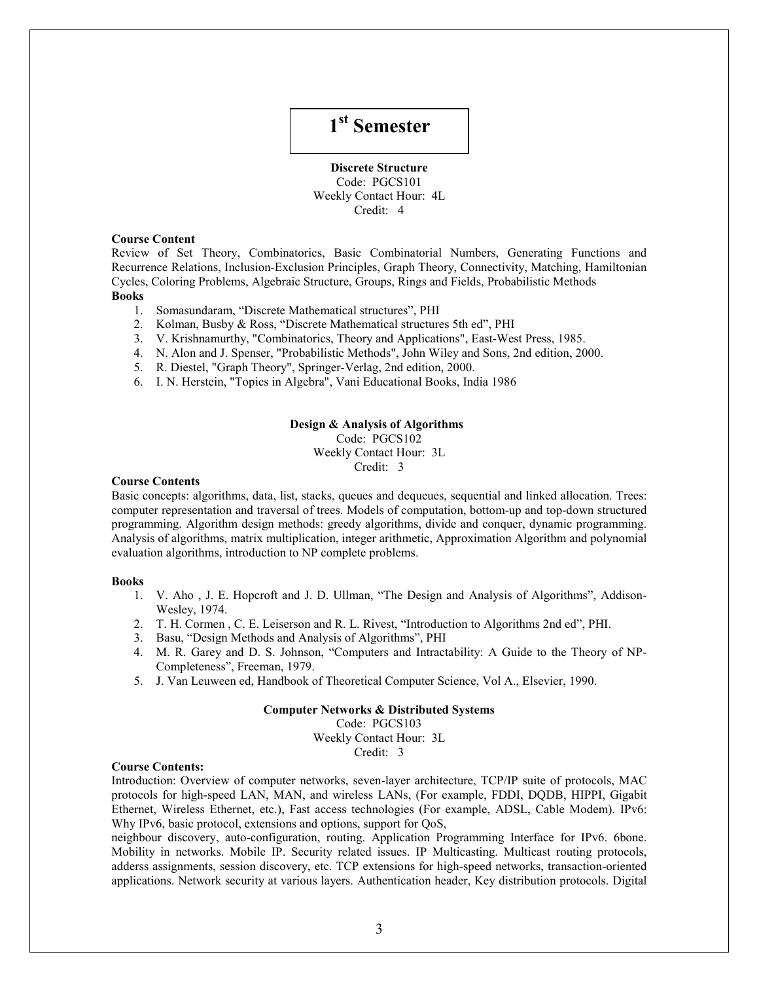# 1<sup>st</sup> Semester

Discrete Structure Code: PGCS101 Weekly Contact Hour: 4L Credit: 4

### Course Content

Review of Set Theory, Combinatorics, Basic Combinatorial Numbers, Generating Functions and Recurrence Relations, Inclusion-Exclusion Principles, Graph Theory, Connectivity, Matching, Hamiltonian Cycles, Coloring Problems, Algebraic Structure, Groups, Rings and Fields, Probabilistic Methods Books

- - 1. Somasundaram, "Discrete Mathematical structures", PHI
	- 2. Kolman, Busby & Ross, "Discrete Mathematical structures 5th ed", PHI
	- 3. V. Krishnamurthy, "Combinatorics, Theory and Applications", East-West Press, 1985.
	- 4. N. Alon and J. Spenser, "Probabilistic Methods", John Wiley and Sons, 2nd edition, 2000.
	- 5. R. Diestel, "Graph Theory", Springer-Verlag, 2nd edition, 2000.
	- 6. I. N. Herstein, "Topics in Algebra", Vani Educational Books, India 1986

#### Design & Analysis of Algorithms

Code: PGCS102

Weekly Contact Hour: 3L

Credit: 3

### Course Contents

Basic concepts: algorithms, data, list, stacks, queues and dequeues, sequential and linked allocation. Trees: computer representation and traversal of trees. Models of computation, bottom-up and top-down structured programming. Algorithm design methods: greedy algorithms, divide and conquer, dynamic programming. Analysis of algorithms, matrix multiplication, integer arithmetic, Approximation Algorithm and polynomial evaluation algorithms, introduction to NP complete problems.

#### Books

- 1. V. Aho , J. E. Hopcroft and J. D. Ullman, "The Design and Analysis of Algorithms", Addison-Wesley, 1974.
- 2. T. H. Cormen , C. E. Leiserson and R. L. Rivest, "Introduction to Algorithms 2nd ed", PHI.
- 3. Basu, "Design Methods and Analysis of Algorithms", PHI
- 4. M. R. Garey and D. S. Johnson, "Computers and Intractability: A Guide to the Theory of NP-Completeness", Freeman, 1979.
- 5. J. Van Leuween ed, Handbook of Theoretical Computer Science, Vol A., Elsevier, 1990.

#### Computer Networks & Distributed Systems

Code: PGCS103

Weekly Contact Hour: 3L

Credit: 3

#### Course Contents:

Introduction: Overview of computer networks, seven-layer architecture, TCP/IP suite of protocols, MAC protocols for high-speed LAN, MAN, and wireless LANs, (For example, FDDI, DQDB, HIPPI, Gigabit Ethernet, Wireless Ethernet, etc.), Fast access technologies (For example, ADSL, Cable Modem). IPv6: Why IPv6, basic protocol, extensions and options, support for QoS,

neighbour discovery, auto-configuration, routing. Application Programming Interface for IPv6. 6bone. Mobility in networks. Mobile IP. Security related issues. IP Multicasting. Multicast routing protocols, adderss assignments, session discovery, etc. TCP extensions for high-speed networks, transaction-oriented applications. Network security at various layers. Authentication header, Key distribution protocols. Digital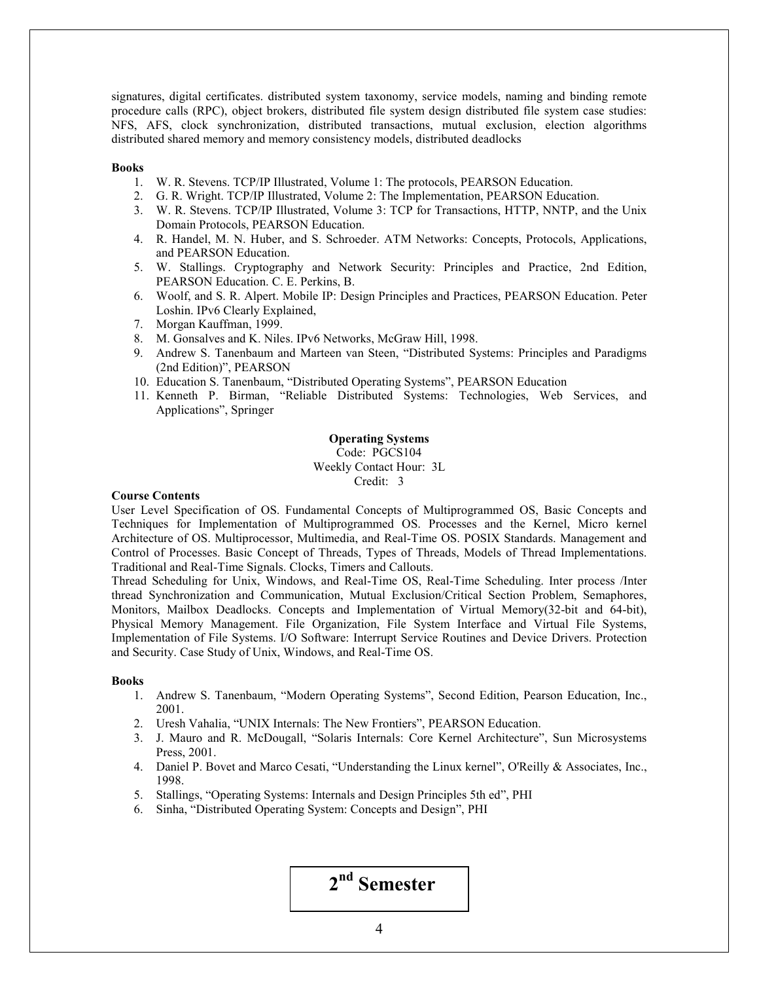signatures, digital certificates. distributed system taxonomy, service models, naming and binding remote procedure calls (RPC), object brokers, distributed file system design distributed file system case studies: NFS, AFS, clock synchronization, distributed transactions, mutual exclusion, election algorithms distributed shared memory and memory consistency models, distributed deadlocks

#### **Books**

- 1. W. R. Stevens. TCP/IP Illustrated, Volume 1: The protocols, PEARSON Education.
- 2. G. R. Wright. TCP/IP Illustrated, Volume 2: The Implementation, PEARSON Education.
- 3. W. R. Stevens. TCP/IP Illustrated, Volume 3: TCP for Transactions, HTTP, NNTP, and the Unix Domain Protocols, PEARSON Education.
- 4. R. Handel, M. N. Huber, and S. Schroeder. ATM Networks: Concepts, Protocols, Applications, and PEARSON Education.
- 5. W. Stallings. Cryptography and Network Security: Principles and Practice, 2nd Edition, PEARSON Education. C. E. Perkins, B.
- 6. Woolf, and S. R. Alpert. Mobile IP: Design Principles and Practices, PEARSON Education. Peter Loshin. IPv6 Clearly Explained,
- 7. Morgan Kauffman, 1999.
- 8. M. Gonsalves and K. Niles. IPv6 Networks, McGraw Hill, 1998.
- 9. Andrew S. Tanenbaum and Marteen van Steen, "Distributed Systems: Principles and Paradigms (2nd Edition)", PEARSON
- 10. Education S. Tanenbaum, "Distributed Operating Systems", PEARSON Education
- 11. Kenneth P. Birman, "Reliable Distributed Systems: Technologies, Web Services, and Applications", Springer

### Operating Systems Code: PGCS104 Weekly Contact Hour: 3L Credit: 3

### Course Contents

User Level Specification of OS. Fundamental Concepts of Multiprogrammed OS, Basic Concepts and Techniques for Implementation of Multiprogrammed OS. Processes and the Kernel, Micro kernel Architecture of OS. Multiprocessor, Multimedia, and Real-Time OS. POSIX Standards. Management and Control of Processes. Basic Concept of Threads, Types of Threads, Models of Thread Implementations. Traditional and Real-Time Signals. Clocks, Timers and Callouts.

Thread Scheduling for Unix, Windows, and Real-Time OS, Real-Time Scheduling. Inter process /Inter thread Synchronization and Communication, Mutual Exclusion/Critical Section Problem, Semaphores, Monitors, Mailbox Deadlocks. Concepts and Implementation of Virtual Memory(32-bit and 64-bit), Physical Memory Management. File Organization, File System Interface and Virtual File Systems, Implementation of File Systems. I/O Software: Interrupt Service Routines and Device Drivers. Protection and Security. Case Study of Unix, Windows, and Real-Time OS.

#### Books

- 1. Andrew S. Tanenbaum, "Modern Operating Systems", Second Edition, Pearson Education, Inc., 2001.
- 2. Uresh Vahalia, "UNIX Internals: The New Frontiers", PEARSON Education.
- 3. J. Mauro and R. McDougall, "Solaris Internals: Core Kernel Architecture", Sun Microsystems Press, 2001.
- 4. Daniel P. Bovet and Marco Cesati, "Understanding the Linux kernel", O'Reilly & Associates, Inc., 1998.
- 5. Stallings, "Operating Systems: Internals and Design Principles 5th ed", PHI
- 6. Sinha, "Distributed Operating System: Concepts and Design", PHI

2nd Semester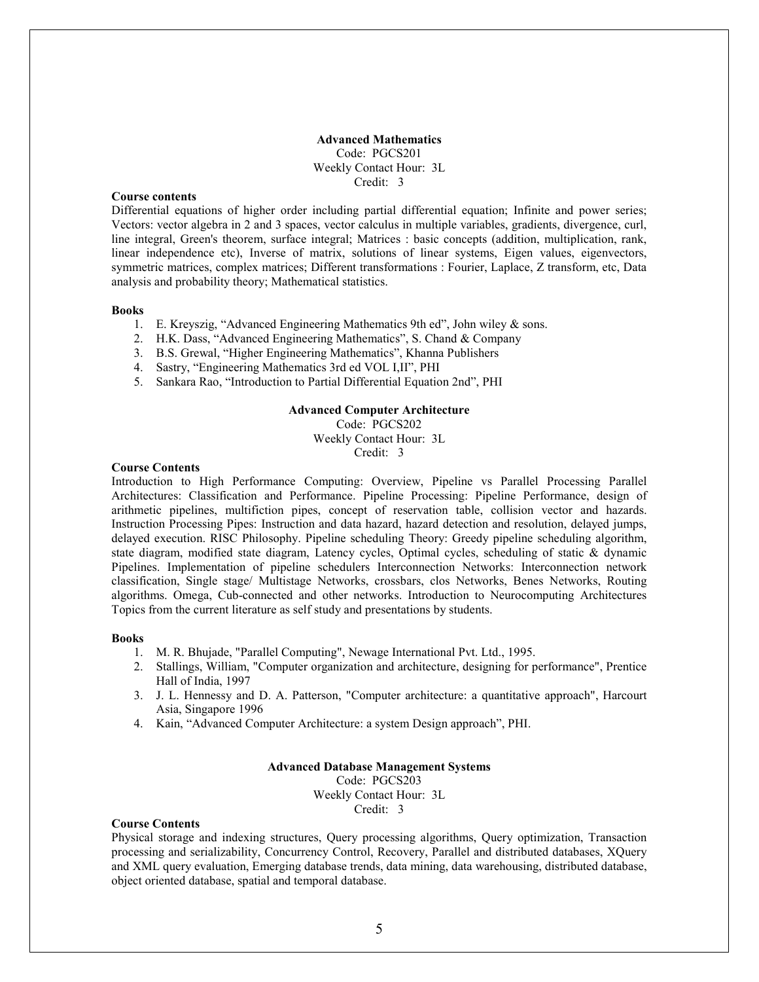### Advanced Mathematics Code: PGCS201 Weekly Contact Hour: 3L Credit: 3

### Course contents

Differential equations of higher order including partial differential equation; Infinite and power series; Vectors: vector algebra in 2 and 3 spaces, vector calculus in multiple variables, gradients, divergence, curl, line integral, Green's theorem, surface integral; Matrices : basic concepts (addition, multiplication, rank, linear independence etc), Inverse of matrix, solutions of linear systems, Eigen values, eigenvectors, symmetric matrices, complex matrices; Different transformations : Fourier, Laplace, Z transform, etc, Data analysis and probability theory; Mathematical statistics.

#### Books

- 1. E. Kreyszig, "Advanced Engineering Mathematics 9th ed", John wiley & sons.
- 2. H.K. Dass, "Advanced Engineering Mathematics", S. Chand & Company
- 3. B.S. Grewal, "Higher Engineering Mathematics", Khanna Publishers
- 4. Sastry, "Engineering Mathematics 3rd ed VOL I,II", PHI
- 5. Sankara Rao, "Introduction to Partial Differential Equation 2nd", PHI

### Advanced Computer Architecture

Code: PGCS202

Weekly Contact Hour: 3L

Credit: 3

#### Course Contents

Introduction to High Performance Computing: Overview, Pipeline vs Parallel Processing Parallel Architectures: Classification and Performance. Pipeline Processing: Pipeline Performance, design of arithmetic pipelines, multifiction pipes, concept of reservation table, collision vector and hazards. Instruction Processing Pipes: Instruction and data hazard, hazard detection and resolution, delayed jumps, delayed execution. RISC Philosophy. Pipeline scheduling Theory: Greedy pipeline scheduling algorithm, state diagram, modified state diagram, Latency cycles, Optimal cycles, scheduling of static & dynamic Pipelines. Implementation of pipeline schedulers Interconnection Networks: Interconnection network classification, Single stage/ Multistage Networks, crossbars, clos Networks, Benes Networks, Routing algorithms. Omega, Cub-connected and other networks. Introduction to Neurocomputing Architectures Topics from the current literature as self study and presentations by students.

#### Books

- 1. M. R. Bhujade, "Parallel Computing", Newage International Pvt. Ltd., 1995.
- 2. Stallings, William, "Computer organization and architecture, designing for performance", Prentice Hall of India, 1997
- 3. J. L. Hennessy and D. A. Patterson, "Computer architecture: a quantitative approach", Harcourt Asia, Singapore 1996
- 4. Kain, "Advanced Computer Architecture: a system Design approach", PHI.

### Advanced Database Management Systems Code: PGCS203 Weekly Contact Hour: 3L Credit: 3

#### Course Contents

Physical storage and indexing structures, Query processing algorithms, Query optimization, Transaction processing and serializability, Concurrency Control, Recovery, Parallel and distributed databases, XQuery and XML query evaluation, Emerging database trends, data mining, data warehousing, distributed database, object oriented database, spatial and temporal database.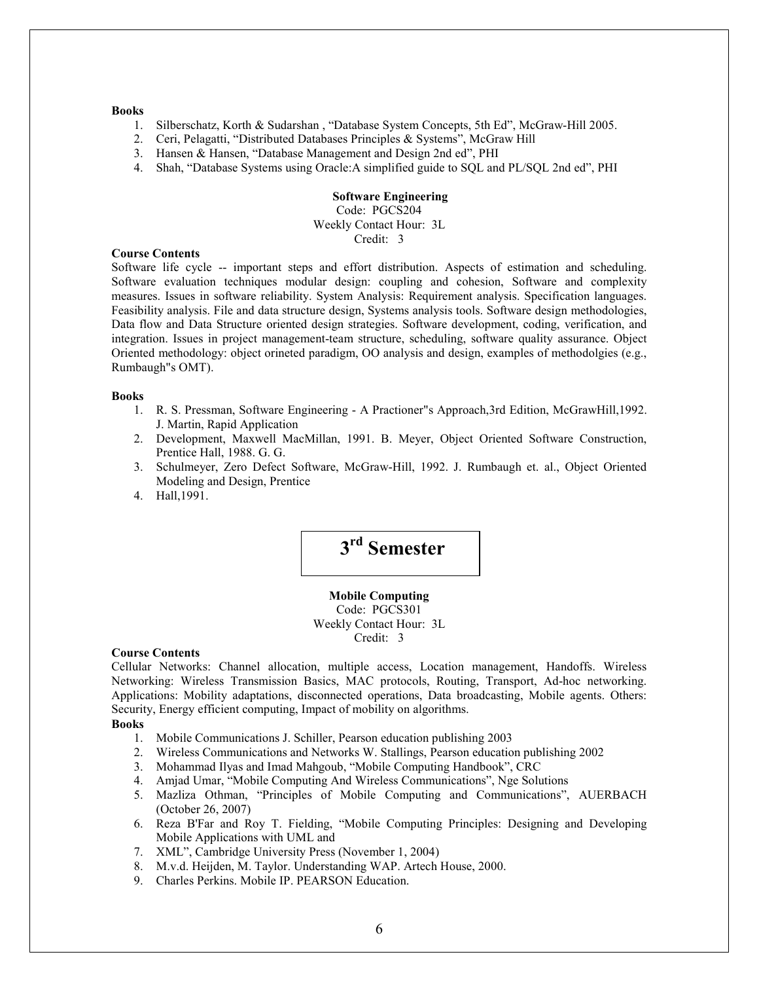#### Books

- 1. Silberschatz, Korth & Sudarshan , "Database System Concepts, 5th Ed", McGraw-Hill 2005.
- 2. Ceri, Pelagatti, "Distributed Databases Principles & Systems", McGraw Hill
- 3. Hansen & Hansen, "Database Management and Design 2nd ed", PHI
- 4. Shah, "Database Systems using Oracle:A simplified guide to SQL and PL/SQL 2nd ed", PHI

### Software Engineering Code: PGCS204 Weekly Contact Hour: 3L Credit: 3

### Course Contents

Software life cycle -- important steps and effort distribution. Aspects of estimation and scheduling. Software evaluation techniques modular design: coupling and cohesion, Software and complexity measures. Issues in software reliability. System Analysis: Requirement analysis. Specification languages. Feasibility analysis. File and data structure design, Systems analysis tools. Software design methodologies, Data flow and Data Structure oriented design strategies. Software development, coding, verification, and integration. Issues in project management-team structure, scheduling, software quality assurance. Object Oriented methodology: object orineted paradigm, OO analysis and design, examples of methodolgies (e.g., Rumbaugh"s OMT).

### Books

- 1. R. S. Pressman, Software Engineering A Practioner"s Approach,3rd Edition, McGrawHill,1992. J. Martin, Rapid Application
- 2. Development, Maxwell MacMillan, 1991. B. Meyer, Object Oriented Software Construction, Prentice Hall, 1988. G. G.
- 3. Schulmeyer, Zero Defect Software, McGraw-Hill, 1992. J. Rumbaugh et. al., Object Oriented Modeling and Design, Prentice
- 4. Hall,1991.



Mobile Computing Code: PGCS301 Weekly Contact Hour: 3L Credit: 3

### Course Contents

Cellular Networks: Channel allocation, multiple access, Location management, Handoffs. Wireless Networking: Wireless Transmission Basics, MAC protocols, Routing, Transport, Ad-hoc networking. Applications: Mobility adaptations, disconnected operations, Data broadcasting, Mobile agents. Others: Security, Energy efficient computing, Impact of mobility on algorithms.

### Books

- 1. Mobile Communications J. Schiller, Pearson education publishing 2003
- 2. Wireless Communications and Networks W. Stallings, Pearson education publishing 2002
- 3. Mohammad Ilyas and Imad Mahgoub, "Mobile Computing Handbook", CRC
- 4. Amjad Umar, "Mobile Computing And Wireless Communications", Nge Solutions
- 5. Mazliza Othman, "Principles of Mobile Computing and Communications", AUERBACH (October 26, 2007)
- 6. Reza B'Far and Roy T. Fielding, "Mobile Computing Principles: Designing and Developing Mobile Applications with UML and
- 7. XML", Cambridge University Press (November 1, 2004)
- 8. M.v.d. Heijden, M. Taylor. Understanding WAP. Artech House, 2000.
- 9. Charles Perkins. Mobile IP. PEARSON Education.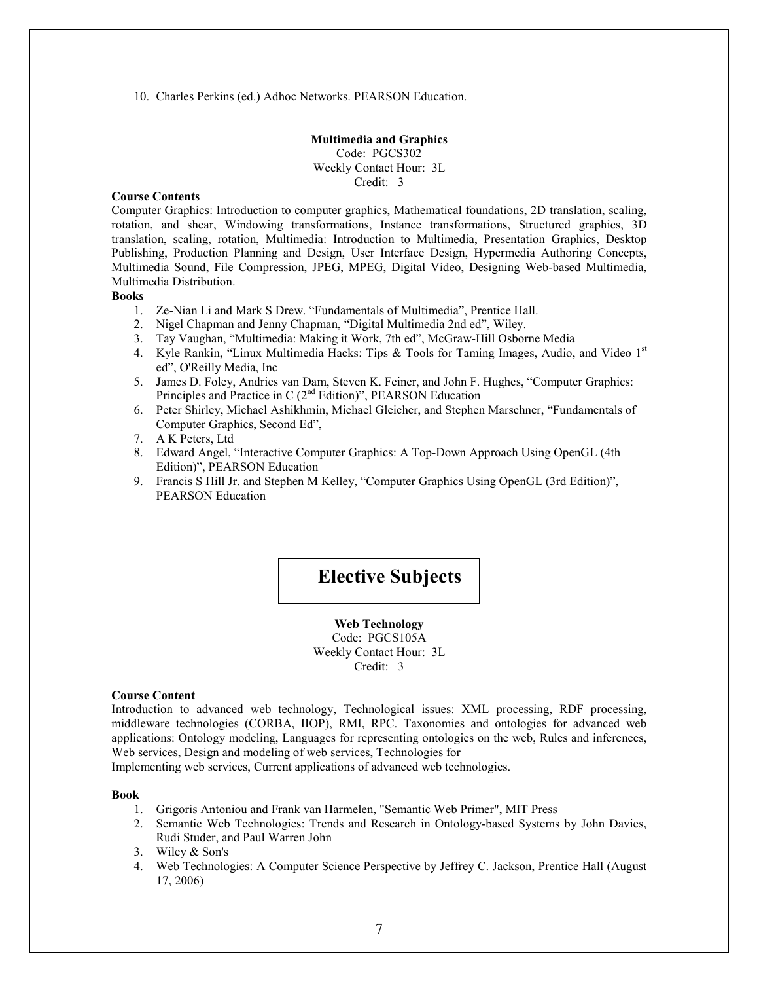10. Charles Perkins (ed.) Adhoc Networks. PEARSON Education.

Multimedia and Graphics Code: PGCS302 Weekly Contact Hour: 3L Credit: 3

### Course Contents

Computer Graphics: Introduction to computer graphics, Mathematical foundations, 2D translation, scaling, rotation, and shear, Windowing transformations, Instance transformations, Structured graphics, 3D translation, scaling, rotation, Multimedia: Introduction to Multimedia, Presentation Graphics, Desktop Publishing, Production Planning and Design, User Interface Design, Hypermedia Authoring Concepts, Multimedia Sound, File Compression, JPEG, MPEG, Digital Video, Designing Web-based Multimedia, Multimedia Distribution.

### **Books**

- 1. Ze-Nian Li and Mark S Drew. "Fundamentals of Multimedia", Prentice Hall.
- 2. Nigel Chapman and Jenny Chapman, "Digital Multimedia 2nd ed", Wiley.
- 3. Tay Vaughan, "Multimedia: Making it Work, 7th ed", McGraw-Hill Osborne Media
- 4. Kyle Rankin, "Linux Multimedia Hacks: Tips  $\&$  Tools for Taming Images, Audio, and Video 1st ed", O'Reilly Media, Inc
- 5. James D. Foley, Andries van Dam, Steven K. Feiner, and John F. Hughes, "Computer Graphics: Principles and Practice in C  $(2<sup>nd</sup> Edition)$ <sup>"</sup>, PEARSON Education
- 6. Peter Shirley, Michael Ashikhmin, Michael Gleicher, and Stephen Marschner, "Fundamentals of Computer Graphics, Second Ed",
- 7. A K Peters, Ltd
- 8. Edward Angel, "Interactive Computer Graphics: A Top-Down Approach Using OpenGL (4th Edition)", PEARSON Education
- 9. Francis S Hill Jr. and Stephen M Kelley, "Computer Graphics Using OpenGL (3rd Edition)", PEARSON Education

# Elective Subjects

Web Technology Code: PGCS105A Weekly Contact Hour: 3L Credit: 3

### Course Content

Introduction to advanced web technology, Technological issues: XML processing, RDF processing, middleware technologies (CORBA, IIOP), RMI, RPC. Taxonomies and ontologies for advanced web applications: Ontology modeling, Languages for representing ontologies on the web, Rules and inferences, Web services, Design and modeling of web services, Technologies for

Implementing web services, Current applications of advanced web technologies.

#### Book

- 1. Grigoris Antoniou and Frank van Harmelen, "Semantic Web Primer", MIT Press
- 2. Semantic Web Technologies: Trends and Research in Ontology-based Systems by John Davies, Rudi Studer, and Paul Warren John
- 3. Wiley & Son's
- 4. Web Technologies: A Computer Science Perspective by Jeffrey C. Jackson, Prentice Hall (August 17, 2006)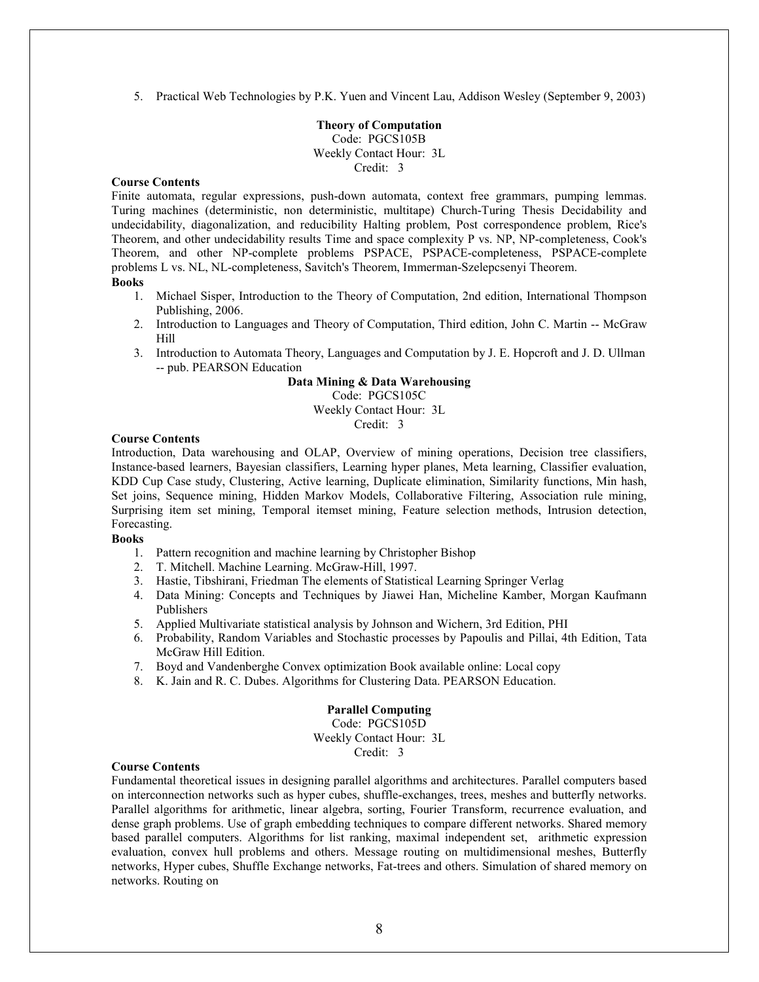5. Practical Web Technologies by P.K. Yuen and Vincent Lau, Addison Wesley (September 9, 2003)

### Theory of Computation Code: PGCS105B Weekly Contact Hour: 3L Credit: 3

### Course Contents

Finite automata, regular expressions, push-down automata, context free grammars, pumping lemmas. Turing machines (deterministic, non deterministic, multitape) Church-Turing Thesis Decidability and undecidability, diagonalization, and reducibility Halting problem, Post correspondence problem, Rice's Theorem, and other undecidability results Time and space complexity P vs. NP, NP-completeness, Cook's Theorem, and other NP-complete problems PSPACE, PSPACE-completeness, PSPACE-complete problems L vs. NL, NL-completeness, Savitch's Theorem, Immerman-Szelepcsenyi Theorem.

### Books

- 1. Michael Sisper, Introduction to the Theory of Computation, 2nd edition, International Thompson Publishing, 2006.
- 2. Introduction to Languages and Theory of Computation, Third edition, John C. Martin -- McGraw Hill
- 3. Introduction to Automata Theory, Languages and Computation by J. E. Hopcroft and J. D. Ullman -- pub. PEARSON Education

### Data Mining & Data Warehousing

Code: PGCS105C Weekly Contact Hour: 3L Credit: 3

### Course Contents

Introduction, Data warehousing and OLAP, Overview of mining operations, Decision tree classifiers, Instance-based learners, Bayesian classifiers, Learning hyper planes, Meta learning, Classifier evaluation, KDD Cup Case study, Clustering, Active learning, Duplicate elimination, Similarity functions, Min hash, Set joins, Sequence mining, Hidden Markov Models, Collaborative Filtering, Association rule mining, Surprising item set mining, Temporal itemset mining, Feature selection methods, Intrusion detection, Forecasting.

### Books

- 1. Pattern recognition and machine learning by Christopher Bishop
- 2. T. Mitchell. Machine Learning. McGraw-Hill, 1997.
- 3. Hastie, Tibshirani, Friedman The elements of Statistical Learning Springer Verlag
- 4. Data Mining: Concepts and Techniques by Jiawei Han, Micheline Kamber, Morgan Kaufmann Publishers
- 5. Applied Multivariate statistical analysis by Johnson and Wichern, 3rd Edition, PHI
- 6. Probability, Random Variables and Stochastic processes by Papoulis and Pillai, 4th Edition, Tata McGraw Hill Edition.
- 7. Boyd and Vandenberghe Convex optimization Book available online: Local copy
- 8. K. Jain and R. C. Dubes. Algorithms for Clustering Data. PEARSON Education.

### Parallel Computing

Code: PGCS105D Weekly Contact Hour: 3L Credit: 3

#### Course Contents

Fundamental theoretical issues in designing parallel algorithms and architectures. Parallel computers based on interconnection networks such as hyper cubes, shuffle-exchanges, trees, meshes and butterfly networks. Parallel algorithms for arithmetic, linear algebra, sorting, Fourier Transform, recurrence evaluation, and dense graph problems. Use of graph embedding techniques to compare different networks. Shared memory based parallel computers. Algorithms for list ranking, maximal independent set, arithmetic expression evaluation, convex hull problems and others. Message routing on multidimensional meshes, Butterfly networks, Hyper cubes, Shuffle Exchange networks, Fat-trees and others. Simulation of shared memory on networks. Routing on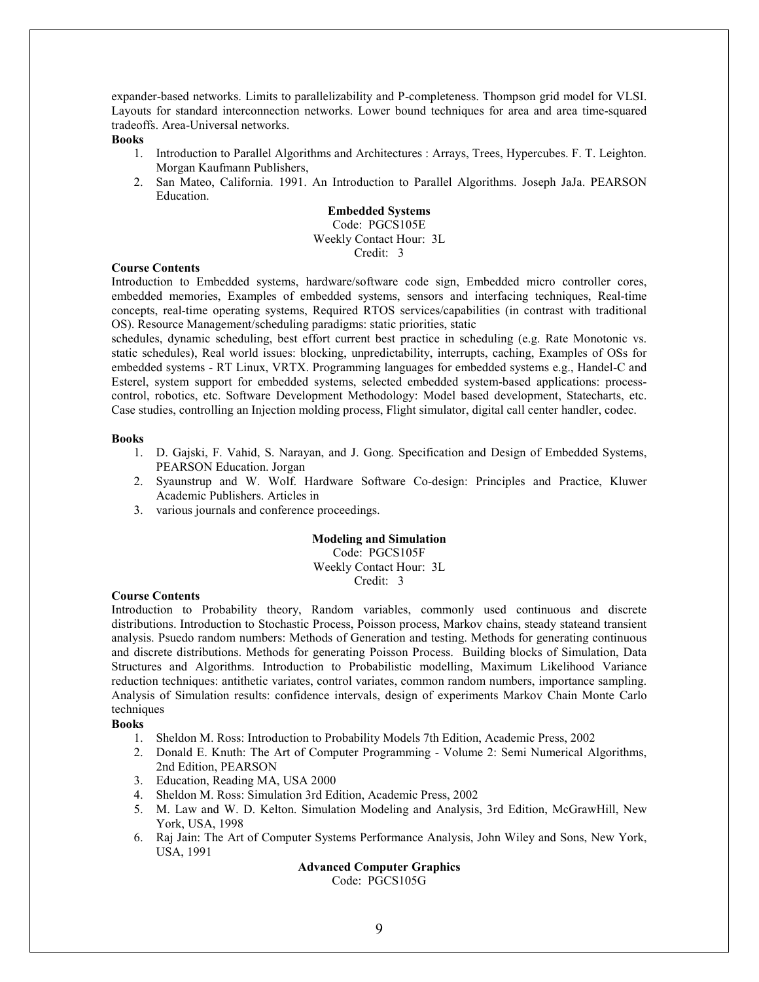expander-based networks. Limits to parallelizability and P-completeness. Thompson grid model for VLSI. Layouts for standard interconnection networks. Lower bound techniques for area and area time-squared tradeoffs. Area-Universal networks.

### Books

- 1. Introduction to Parallel Algorithms and Architectures : Arrays, Trees, Hypercubes. F. T. Leighton. Morgan Kaufmann Publishers,
- 2. San Mateo, California. 1991. An Introduction to Parallel Algorithms. Joseph JaJa. PEARSON Education.

### Embedded Systems

Code: PGCS105E Weekly Contact Hour: 3L Credit: 3

#### Course Contents

Introduction to Embedded systems, hardware/software code sign, Embedded micro controller cores, embedded memories, Examples of embedded systems, sensors and interfacing techniques, Real-time concepts, real-time operating systems, Required RTOS services/capabilities (in contrast with traditional OS). Resource Management/scheduling paradigms: static priorities, static

schedules, dynamic scheduling, best effort current best practice in scheduling (e.g. Rate Monotonic vs. static schedules), Real world issues: blocking, unpredictability, interrupts, caching, Examples of OSs for embedded systems - RT Linux, VRTX. Programming languages for embedded systems e.g., Handel-C and Esterel, system support for embedded systems, selected embedded system-based applications: processcontrol, robotics, etc. Software Development Methodology: Model based development, Statecharts, etc. Case studies, controlling an Injection molding process, Flight simulator, digital call center handler, codec.

#### Books

- 1. D. Gajski, F. Vahid, S. Narayan, and J. Gong. Specification and Design of Embedded Systems, PEARSON Education. Jorgan
- 2. Syaunstrup and W. Wolf. Hardware Software Co-design: Principles and Practice, Kluwer Academic Publishers. Articles in
- 3. various journals and conference proceedings.

### Modeling and Simulation

Code: PGCS105F

Weekly Contact Hour: 3L Credit: 3

### Course Contents

Introduction to Probability theory, Random variables, commonly used continuous and discrete distributions. Introduction to Stochastic Process, Poisson process, Markov chains, steady stateand transient analysis. Psuedo random numbers: Methods of Generation and testing. Methods for generating continuous and discrete distributions. Methods for generating Poisson Process. Building blocks of Simulation, Data Structures and Algorithms. Introduction to Probabilistic modelling, Maximum Likelihood Variance reduction techniques: antithetic variates, control variates, common random numbers, importance sampling. Analysis of Simulation results: confidence intervals, design of experiments Markov Chain Monte Carlo techniques

### Books

- 1. Sheldon M. Ross: Introduction to Probability Models 7th Edition, Academic Press, 2002
- 2. Donald E. Knuth: The Art of Computer Programming Volume 2: Semi Numerical Algorithms, 2nd Edition, PEARSON
- 3. Education, Reading MA, USA 2000
- 4. Sheldon M. Ross: Simulation 3rd Edition, Academic Press, 2002
- 5. M. Law and W. D. Kelton. Simulation Modeling and Analysis, 3rd Edition, McGrawHill, New York, USA, 1998
- 6. Raj Jain: The Art of Computer Systems Performance Analysis, John Wiley and Sons, New York, USA, 1991

### Advanced Computer Graphics

Code: PGCS105G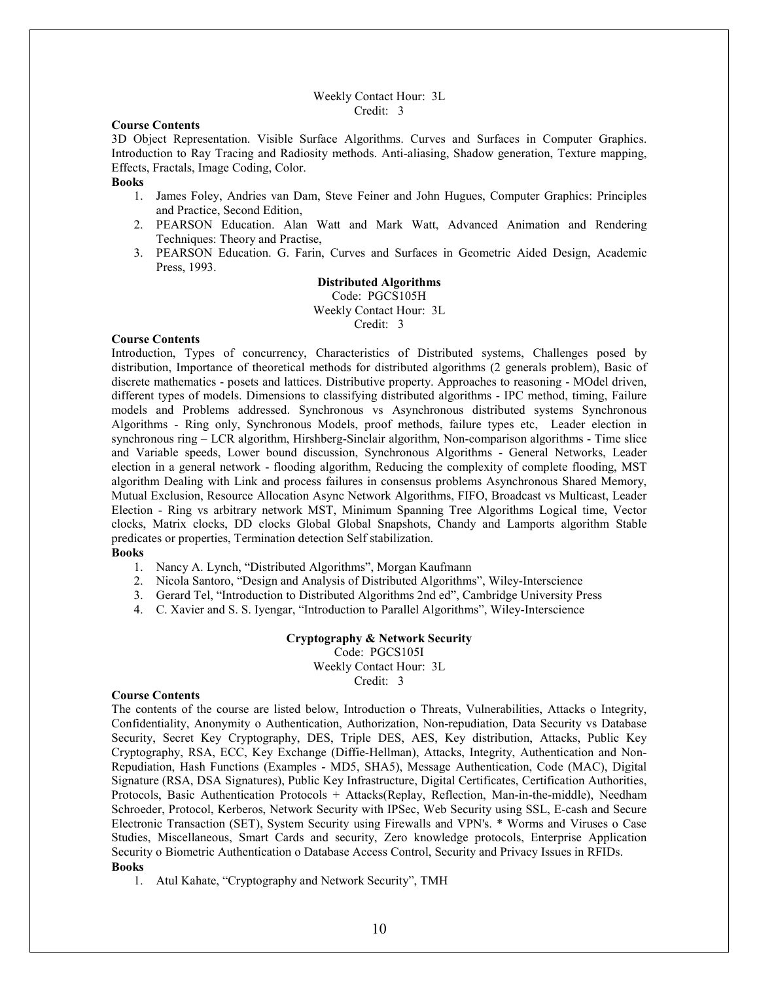### Weekly Contact Hour: 3L Credit: 3

#### Course Contents

3D Object Representation. Visible Surface Algorithms. Curves and Surfaces in Computer Graphics. Introduction to Ray Tracing and Radiosity methods. Anti-aliasing, Shadow generation, Texture mapping, Effects, Fractals, Image Coding, Color.

### **Books**

- 1. James Foley, Andries van Dam, Steve Feiner and John Hugues, Computer Graphics: Principles and Practice, Second Edition,
- 2. PEARSON Education. Alan Watt and Mark Watt, Advanced Animation and Rendering Techniques: Theory and Practise,
- 3. PEARSON Education. G. Farin, Curves and Surfaces in Geometric Aided Design, Academic Press, 1993.

### Distributed Algorithms

Code: PGCS105H Weekly Contact Hour: 3L Credit: 3

### Course Contents

Introduction, Types of concurrency, Characteristics of Distributed systems, Challenges posed by distribution, Importance of theoretical methods for distributed algorithms (2 generals problem), Basic of discrete mathematics - posets and lattices. Distributive property. Approaches to reasoning - MOdel driven, different types of models. Dimensions to classifying distributed algorithms - IPC method, timing, Failure models and Problems addressed. Synchronous vs Asynchronous distributed systems Synchronous Algorithms - Ring only, Synchronous Models, proof methods, failure types etc, Leader election in synchronous ring – LCR algorithm, Hirshberg-Sinclair algorithm, Non-comparison algorithms - Time slice and Variable speeds, Lower bound discussion, Synchronous Algorithms - General Networks, Leader election in a general network - flooding algorithm, Reducing the complexity of complete flooding, MST algorithm Dealing with Link and process failures in consensus problems Asynchronous Shared Memory, Mutual Exclusion, Resource Allocation Async Network Algorithms, FIFO, Broadcast vs Multicast, Leader Election - Ring vs arbitrary network MST, Minimum Spanning Tree Algorithms Logical time, Vector clocks, Matrix clocks, DD clocks Global Global Snapshots, Chandy and Lamports algorithm Stable predicates or properties, Termination detection Self stabilization.

### Books

- 1. Nancy A. Lynch, "Distributed Algorithms", Morgan Kaufmann
- 2. Nicola Santoro, "Design and Analysis of Distributed Algorithms", Wiley-Interscience
- 3. Gerard Tel, "Introduction to Distributed Algorithms 2nd ed", Cambridge University Press
- 4. C. Xavier and S. S. Iyengar, "Introduction to Parallel Algorithms", Wiley-Interscience

Cryptography & Network Security Code: PGCS105I Weekly Contact Hour: 3L Credit: 3

### Course Contents

The contents of the course are listed below, Introduction o Threats, Vulnerabilities, Attacks o Integrity, Confidentiality, Anonymity o Authentication, Authorization, Non-repudiation, Data Security vs Database Security, Secret Key Cryptography, DES, Triple DES, AES, Key distribution, Attacks, Public Key Cryptography, RSA, ECC, Key Exchange (Diffie-Hellman), Attacks, Integrity, Authentication and Non-Repudiation, Hash Functions (Examples - MD5, SHA5), Message Authentication, Code (MAC), Digital Signature (RSA, DSA Signatures), Public Key Infrastructure, Digital Certificates, Certification Authorities, Protocols, Basic Authentication Protocols + Attacks(Replay, Reflection, Man-in-the-middle), Needham Schroeder, Protocol, Kerberos, Network Security with IPSec, Web Security using SSL, E-cash and Secure Electronic Transaction (SET), System Security using Firewalls and VPN's. \* Worms and Viruses o Case Studies, Miscellaneous, Smart Cards and security, Zero knowledge protocols, Enterprise Application Security o Biometric Authentication o Database Access Control, Security and Privacy Issues in RFIDs. Books

1. Atul Kahate, "Cryptography and Network Security", TMH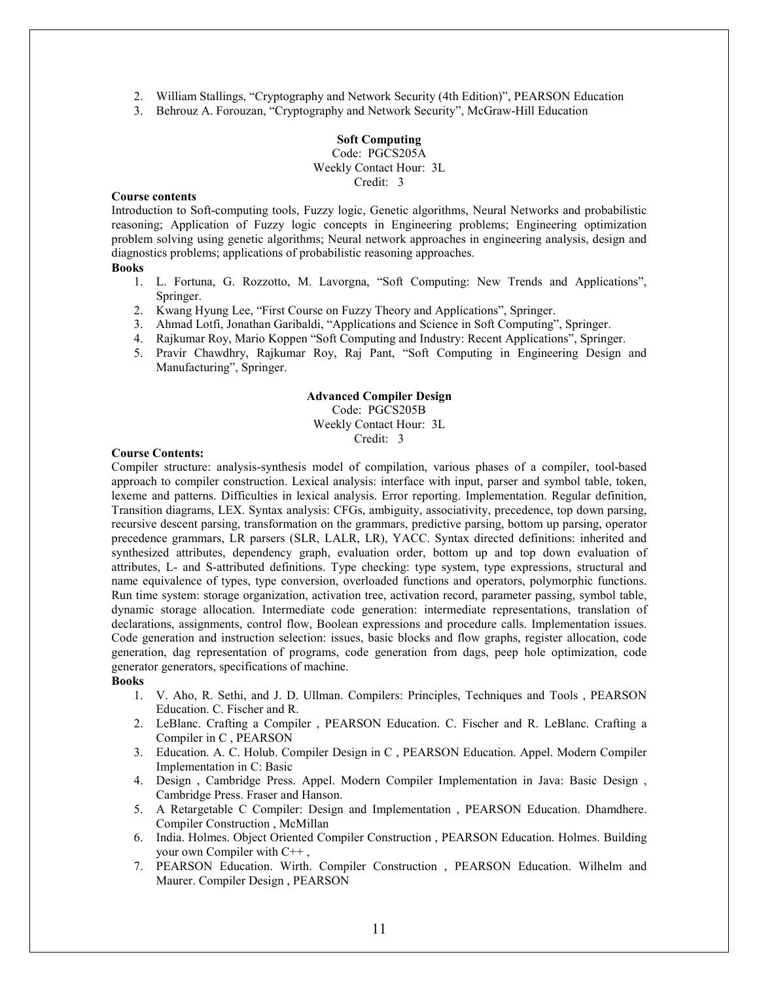- 2. William Stallings, "Cryptography and Network Security (4th Edition)", PEARSON Education
- 3. Behrouz A. Forouzan, "Cryptography and Network Security", McGraw-Hill Education

### Soft Computing Code: PGCS205A Weekly Contact Hour: 3L Credit: 3

### Course contents

Introduction to Soft-computing tools, Fuzzy logic, Genetic algorithms, Neural Networks and probabilistic reasoning; Application of Fuzzy logic concepts in Engineering problems; Engineering optimization problem solving using genetic algorithms; Neural network approaches in engineering analysis, design and diagnostics problems; applications of probabilistic reasoning approaches.

### Books

- 1. L. Fortuna, G. Rozzotto, M. Lavorgna, "Soft Computing: New Trends and Applications", Springer.
- 2. Kwang Hyung Lee, "First Course on Fuzzy Theory and Applications", Springer.
- 3. Ahmad Lotfi, Jonathan Garibaldi, "Applications and Science in Soft Computing", Springer.
- 4. Rajkumar Roy, Mario Koppen "Soft Computing and Industry: Recent Applications", Springer.
- 5. Pravir Chawdhry, Rajkumar Roy, Raj Pant, "Soft Computing in Engineering Design and Manufacturing", Springer.

### Advanced Compiler Design

### Code: PGCS205B Weekly Contact Hour: 3L Credit: 3

### Course Contents:

Compiler structure: analysis-synthesis model of compilation, various phases of a compiler, tool-based approach to compiler construction. Lexical analysis: interface with input, parser and symbol table, token, lexeme and patterns. Difficulties in lexical analysis. Error reporting. Implementation. Regular definition, Transition diagrams, LEX. Syntax analysis: CFGs, ambiguity, associativity, precedence, top down parsing, recursive descent parsing, transformation on the grammars, predictive parsing, bottom up parsing, operator precedence grammars, LR parsers (SLR, LALR, LR), YACC. Syntax directed definitions: inherited and synthesized attributes, dependency graph, evaluation order, bottom up and top down evaluation of attributes, L- and S-attributed definitions. Type checking: type system, type expressions, structural and name equivalence of types, type conversion, overloaded functions and operators, polymorphic functions. Run time system: storage organization, activation tree, activation record, parameter passing, symbol table, dynamic storage allocation. Intermediate code generation: intermediate representations, translation of declarations, assignments, control flow, Boolean expressions and procedure calls. Implementation issues. Code generation and instruction selection: issues, basic blocks and flow graphs, register allocation, code generation, dag representation of programs, code generation from dags, peep hole optimization, code generator generators, specifications of machine.

### Books

- 1. V. Aho, R. Sethi, and J. D. Ullman. Compilers: Principles, Techniques and Tools , PEARSON Education. C. Fischer and R.
- 2. LeBlanc. Crafting a Compiler , PEARSON Education. C. Fischer and R. LeBlanc. Crafting a Compiler in C , PEARSON
- 3. Education. A. C. Holub. Compiler Design in C , PEARSON Education. Appel. Modern Compiler Implementation in C: Basic
- 4. Design , Cambridge Press. Appel. Modern Compiler Implementation in Java: Basic Design , Cambridge Press. Fraser and Hanson.
- 5. A Retargetable C Compiler: Design and Implementation , PEARSON Education. Dhamdhere. Compiler Construction , McMillan
- 6. India. Holmes. Object Oriented Compiler Construction , PEARSON Education. Holmes. Building your own Compiler with C++ ,
- 7. PEARSON Education. Wirth. Compiler Construction , PEARSON Education. Wilhelm and Maurer. Compiler Design , PEARSON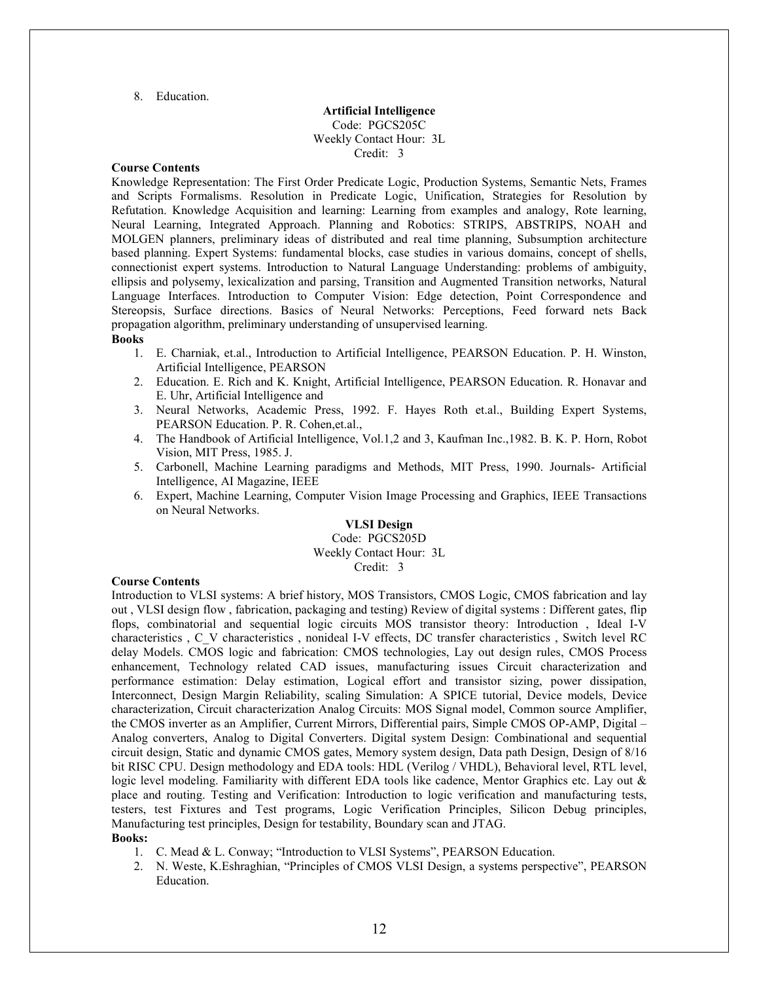8. Education.

### Artificial Intelligence Code: PGCS205C Weekly Contact Hour: 3L Credit: 3

### Course Contents

Knowledge Representation: The First Order Predicate Logic, Production Systems, Semantic Nets, Frames and Scripts Formalisms. Resolution in Predicate Logic, Unification, Strategies for Resolution by Refutation. Knowledge Acquisition and learning: Learning from examples and analogy, Rote learning, Neural Learning, Integrated Approach. Planning and Robotics: STRIPS, ABSTRIPS, NOAH and MOLGEN planners, preliminary ideas of distributed and real time planning, Subsumption architecture based planning. Expert Systems: fundamental blocks, case studies in various domains, concept of shells, connectionist expert systems. Introduction to Natural Language Understanding: problems of ambiguity, ellipsis and polysemy, lexicalization and parsing, Transition and Augmented Transition networks, Natural Language Interfaces. Introduction to Computer Vision: Edge detection, Point Correspondence and Stereopsis, Surface directions. Basics of Neural Networks: Perceptions, Feed forward nets Back propagation algorithm, preliminary understanding of unsupervised learning.

#### Books

- 1. E. Charniak, et.al., Introduction to Artificial Intelligence, PEARSON Education. P. H. Winston, Artificial Intelligence, PEARSON
- 2. Education. E. Rich and K. Knight, Artificial Intelligence, PEARSON Education. R. Honavar and E. Uhr, Artificial Intelligence and
- 3. Neural Networks, Academic Press, 1992. F. Hayes Roth et.al., Building Expert Systems, PEARSON Education. P. R. Cohen,et.al.,
- 4. The Handbook of Artificial Intelligence, Vol.1,2 and 3, Kaufman Inc.,1982. B. K. P. Horn, Robot Vision, MIT Press, 1985. J.
- 5. Carbonell, Machine Learning paradigms and Methods, MIT Press, 1990. Journals- Artificial Intelligence, AI Magazine, IEEE
- 6. Expert, Machine Learning, Computer Vision Image Processing and Graphics, IEEE Transactions on Neural Networks.

### VLSI Design Code: PGCS205D Weekly Contact Hour: 3L Credit: 3

#### Course Contents

Introduction to VLSI systems: A brief history, MOS Transistors, CMOS Logic, CMOS fabrication and lay out , VLSI design flow , fabrication, packaging and testing) Review of digital systems : Different gates, flip flops, combinatorial and sequential logic circuits MOS transistor theory: Introduction , Ideal I-V characteristics , C\_V characteristics , nonideal I-V effects, DC transfer characteristics , Switch level RC delay Models. CMOS logic and fabrication: CMOS technologies, Lay out design rules, CMOS Process enhancement, Technology related CAD issues, manufacturing issues Circuit characterization and performance estimation: Delay estimation, Logical effort and transistor sizing, power dissipation, Interconnect, Design Margin Reliability, scaling Simulation: A SPICE tutorial, Device models, Device characterization, Circuit characterization Analog Circuits: MOS Signal model, Common source Amplifier, the CMOS inverter as an Amplifier, Current Mirrors, Differential pairs, Simple CMOS OP-AMP, Digital – Analog converters, Analog to Digital Converters. Digital system Design: Combinational and sequential circuit design, Static and dynamic CMOS gates, Memory system design, Data path Design, Design of 8/16 bit RISC CPU. Design methodology and EDA tools: HDL (Verilog / VHDL), Behavioral level, RTL level, logic level modeling. Familiarity with different EDA tools like cadence, Mentor Graphics etc. Lay out & place and routing. Testing and Verification: Introduction to logic verification and manufacturing tests, testers, test Fixtures and Test programs, Logic Verification Principles, Silicon Debug principles, Manufacturing test principles, Design for testability, Boundary scan and JTAG. Books:

- 1. C. Mead & L. Conway; "Introduction to VLSI Systems", PEARSON Education.
- 2. N. Weste, K.Eshraghian, "Principles of CMOS VLSI Design, a systems perspective", PEARSON Education.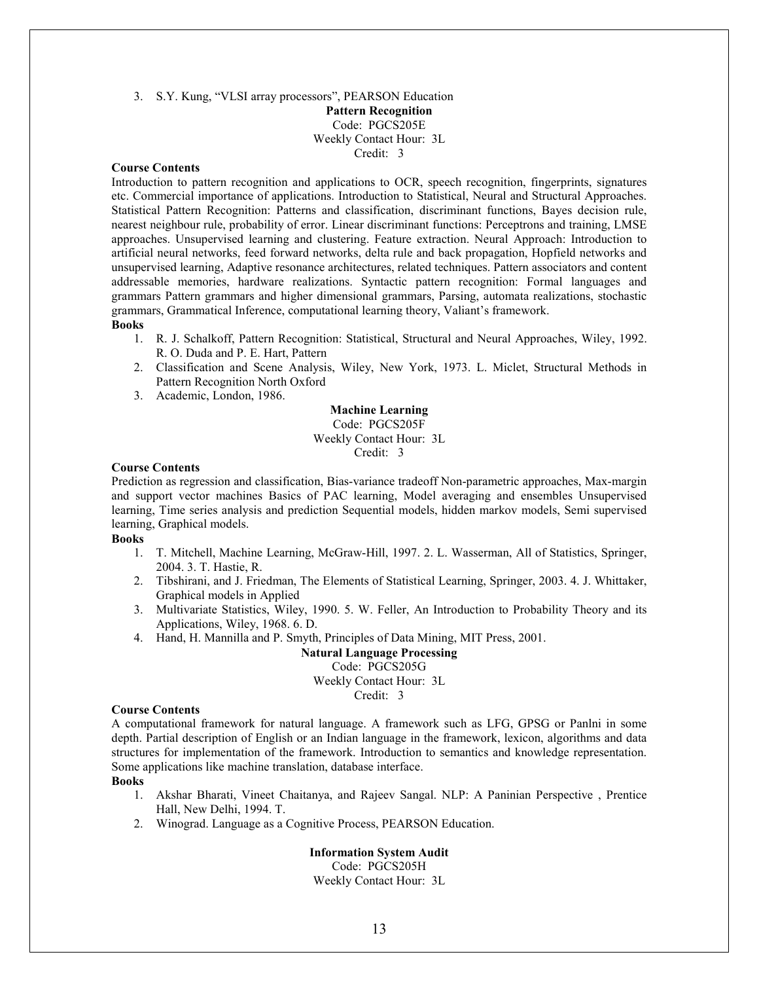3. S.Y. Kung, "VLSI array processors", PEARSON Education Pattern Recognition Code: PGCS205E Weekly Contact Hour: 3L Credit: 3

### Course Contents

Introduction to pattern recognition and applications to OCR, speech recognition, fingerprints, signatures etc. Commercial importance of applications. Introduction to Statistical, Neural and Structural Approaches. Statistical Pattern Recognition: Patterns and classification, discriminant functions, Bayes decision rule, nearest neighbour rule, probability of error. Linear discriminant functions: Perceptrons and training, LMSE approaches. Unsupervised learning and clustering. Feature extraction. Neural Approach: Introduction to artificial neural networks, feed forward networks, delta rule and back propagation, Hopfield networks and unsupervised learning, Adaptive resonance architectures, related techniques. Pattern associators and content addressable memories, hardware realizations. Syntactic pattern recognition: Formal languages and grammars Pattern grammars and higher dimensional grammars, Parsing, automata realizations, stochastic grammars, Grammatical Inference, computational learning theory, Valiant's framework.

#### Books

- 1. R. J. Schalkoff, Pattern Recognition: Statistical, Structural and Neural Approaches, Wiley, 1992. R. O. Duda and P. E. Hart, Pattern
- 2. Classification and Scene Analysis, Wiley, New York, 1973. L. Miclet, Structural Methods in Pattern Recognition North Oxford
- 3. Academic, London, 1986.

### Machine Learning Code: PGCS205F Weekly Contact Hour: 3L Credit: 3

#### Course Contents

Prediction as regression and classification, Bias-variance tradeoff Non-parametric approaches, Max-margin and support vector machines Basics of PAC learning, Model averaging and ensembles Unsupervised learning, Time series analysis and prediction Sequential models, hidden markov models, Semi supervised learning, Graphical models.

### Books

- 1. T. Mitchell, Machine Learning, McGraw-Hill, 1997. 2. L. Wasserman, All of Statistics, Springer, 2004. 3. T. Hastie, R.
- 2. Tibshirani, and J. Friedman, The Elements of Statistical Learning, Springer, 2003. 4. J. Whittaker, Graphical models in Applied
- 3. Multivariate Statistics, Wiley, 1990. 5. W. Feller, An Introduction to Probability Theory and its Applications, Wiley, 1968. 6. D.
- 4. Hand, H. Mannilla and P. Smyth, Principles of Data Mining, MIT Press, 2001.

Natural Language Processing Code: PGCS205G Weekly Contact Hour: 3L Credit: 3

#### Course Contents

A computational framework for natural language. A framework such as LFG, GPSG or Panlni in some depth. Partial description of English or an Indian language in the framework, lexicon, algorithms and data structures for implementation of the framework. Introduction to semantics and knowledge representation. Some applications like machine translation, database interface.

#### **Books**

- 1. Akshar Bharati, Vineet Chaitanya, and Rajeev Sangal. NLP: A Paninian Perspective , Prentice Hall, New Delhi, 1994. T.
- 2. Winograd. Language as a Cognitive Process, PEARSON Education.

### Information System Audit

Code: PGCS205H Weekly Contact Hour: 3L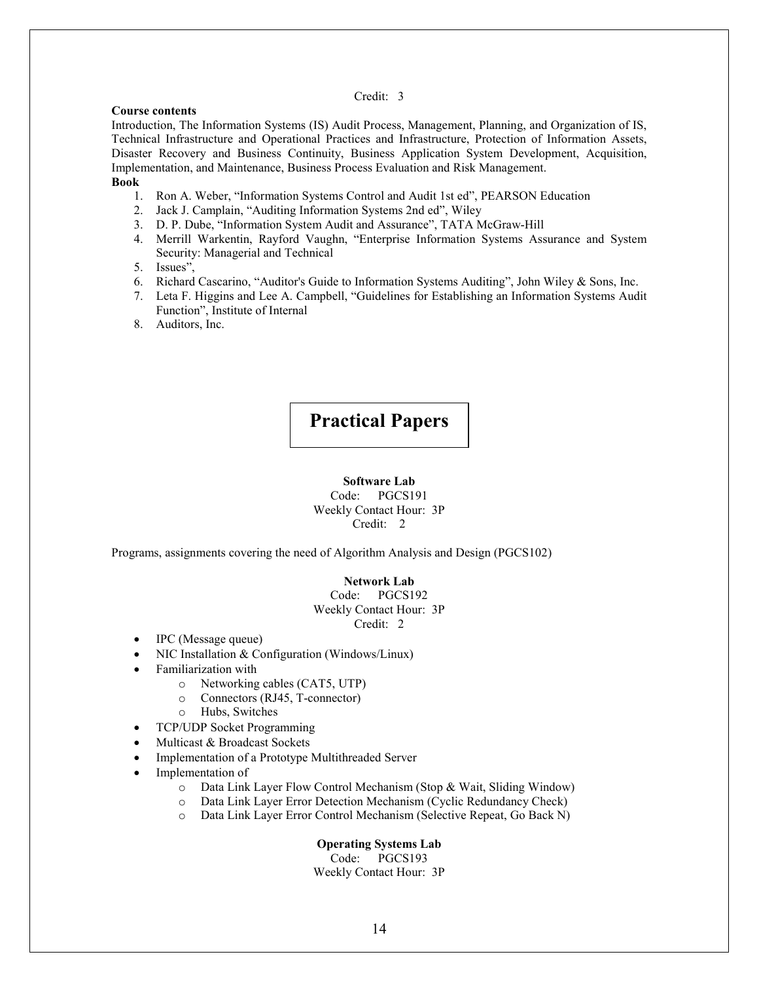### Credit: 3

### Course contents

Introduction, The Information Systems (IS) Audit Process, Management, Planning, and Organization of IS, Technical Infrastructure and Operational Practices and Infrastructure, Protection of Information Assets, Disaster Recovery and Business Continuity, Business Application System Development, Acquisition, Implementation, and Maintenance, Business Process Evaluation and Risk Management. Book

- 1. Ron A. Weber, "Information Systems Control and Audit 1st ed", PEARSON Education
- 2. Jack J. Camplain, "Auditing Information Systems 2nd ed", Wiley
- 3. D. P. Dube, "Information System Audit and Assurance", TATA McGraw-Hill
- 4. Merrill Warkentin, Rayford Vaughn, "Enterprise Information Systems Assurance and System Security: Managerial and Technical
- 5. Issues",
- 6. Richard Cascarino, "Auditor's Guide to Information Systems Auditing", John Wiley & Sons, Inc.
- 7. Leta F. Higgins and Lee A. Campbell, "Guidelines for Establishing an Information Systems Audit Function", Institute of Internal
- 8. Auditors, Inc.

# Practical Papers

### Software Lab

Code: PGCS191 Weekly Contact Hour: 3P Credit: 2

Programs, assignments covering the need of Algorithm Analysis and Design (PGCS102)

#### Network Lab

Code: PGCS192 Weekly Contact Hour: 3P Credit: 2

- IPC (Message queue)
- NIC Installation & Configuration (Windows/Linux)
- Familiarization with
	- o Networking cables (CAT5, UTP)
	- o Connectors (RJ45, T-connector)
	- o Hubs, Switches
- TCP/UDP Socket Programming
- Multicast & Broadcast Sockets
- Implementation of a Prototype Multithreaded Server
- Implementation of
	- o Data Link Layer Flow Control Mechanism (Stop & Wait, Sliding Window)
	- o Data Link Layer Error Detection Mechanism (Cyclic Redundancy Check)
	- o Data Link Layer Error Control Mechanism (Selective Repeat, Go Back N)

### Operating Systems Lab

Code: PGCS193 Weekly Contact Hour: 3P